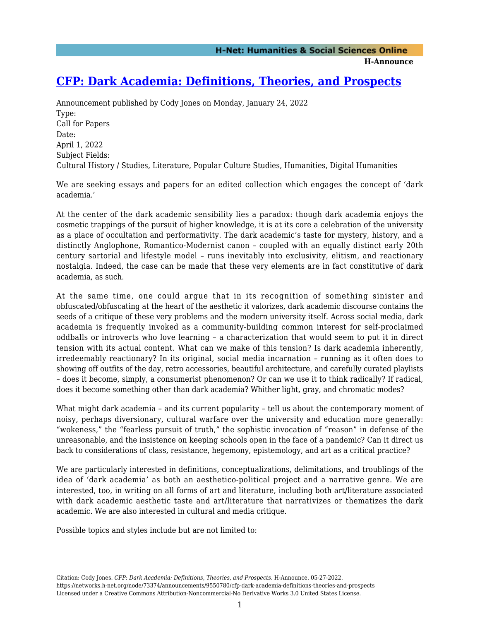**H-Announce** 

## **[CFP: Dark Academia: Definitions, Theories, and Prospects](https://networks.h-net.org/node/73374/announcements/9550780/cfp-dark-academia-definitions-theories-and-prospects)**

Announcement published by Cody Jones on Monday, January 24, 2022 Type: Call for Papers Date: April 1, 2022 Subject Fields: Cultural History / Studies, Literature, Popular Culture Studies, Humanities, Digital Humanities

We are seeking essays and papers for an edited collection which engages the concept of 'dark academia.'

At the center of the dark academic sensibility lies a paradox: though dark academia enjoys the cosmetic trappings of the pursuit of higher knowledge, it is at its core a celebration of the university as a place of occultation and performativity. The dark academic's taste for mystery, history, and a distinctly Anglophone, Romantico-Modernist canon – coupled with an equally distinct early 20th century sartorial and lifestyle model – runs inevitably into exclusivity, elitism, and reactionary nostalgia. Indeed, the case can be made that these very elements are in fact constitutive of dark academia, as such.

At the same time, one could argue that in its recognition of something sinister and obfuscated/obfuscating at the heart of the aesthetic it valorizes, dark academic discourse contains the seeds of a critique of these very problems and the modern university itself. Across social media, dark academia is frequently invoked as a community-building common interest for self-proclaimed oddballs or introverts who love learning – a characterization that would seem to put it in direct tension with its actual content. What can we make of this tension? Is dark academia inherently, irredeemably reactionary? In its original, social media incarnation – running as it often does to showing off outfits of the day, retro accessories, beautiful architecture, and carefully curated playlists – does it become, simply, a consumerist phenomenon? Or can we use it to think radically? If radical, does it become something other than dark academia? Whither light, gray, and chromatic modes?

What might dark academia – and its current popularity – tell us about the contemporary moment of noisy, perhaps diversionary, cultural warfare over the university and education more generally: "wokeness," the "fearless pursuit of truth," the sophistic invocation of "reason" in defense of the unreasonable, and the insistence on keeping schools open in the face of a pandemic? Can it direct us back to considerations of class, resistance, hegemony, epistemology, and art as a critical practice?

We are particularly interested in definitions, conceptualizations, delimitations, and troublings of the idea of 'dark academia' as both an aesthetico-political project and a narrative genre. We are interested, too, in writing on all forms of art and literature, including both art/literature associated with dark academic aesthetic taste and art/literature that narrativizes or thematizes the dark academic. We are also interested in cultural and media critique.

Possible topics and styles include but are not limited to: